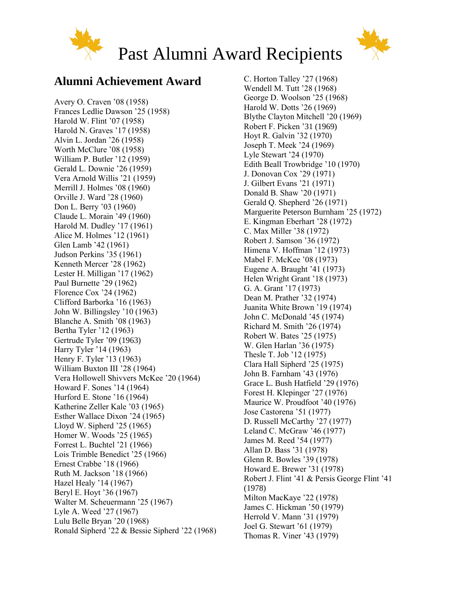



# Past Alumni Award Recipients

### **Alumni Achievement Award**

Avery O. Craven '08 (1958) Frances Ledlie Dawson '25 (1958) Harold W. Flint '07 (1958) Harold N. Graves '17 (1958) Alvin L. Jordan '26 (1958) Worth McClure '08 (1958) William P. Butler '12 (1959) Gerald L. Downie '26 (1959) Vera Arnold Willis '21 (1959) Merrill J. Holmes '08 (1960) Orville J. Ward '28 (1960) Don L. Berry '03 (1960) Claude L. Morain '49 (1960) Harold M. Dudley '17 (1961) Alice M. Holmes '12 (1961) Glen Lamb '42 (1961) Judson Perkins '35 (1961) Kenneth Mercer '28 (1962) Lester H. Milligan '17 (1962) Paul Burnette '29 (1962) Florence Cox '24 (1962) Clifford Barborka '16 (1963) John W. Billingsley '10 (1963) Blanche A. Smith '08 (1963) Bertha Tyler '12 (1963) Gertrude Tyler '09 (1963) Harry Tyler '14 (1963) Henry F. Tyler '13 (1963) William Buxton III '28 (1964) Vera Hollowell Shivvers McKee '20 (1964) Howard F. Sones '14 (1964) Hurford E. Stone '16 (1964) Katherine Zeller Kale '03 (1965) Esther Wallace Dixon '24 (1965) Lloyd W. Sipherd '25 (1965) Homer W. Woods '25 (1965) Forrest L. Buchtel '21 (1966) Lois Trimble Benedict '25 (1966) Ernest Crabbe '18 (1966) Ruth M. Jackson '18 (1966) Hazel Healy '14 (1967) Beryl E. Hoyt '36 (1967) Walter M. Scheuermann '25 (1967) Lyle A. Weed '27 (1967) Lulu Belle Bryan '20 (1968) Ronald Sipherd '22 & Bessie Sipherd '22 (1968)

C. Horton Talley '27 (1968) Wendell M. Tutt '28 (1968) George D. Woolson '25 (1968) Harold W. Dotts '26 (1969) Blythe Clayton Mitchell '20 (1969) Robert F. Picken '31 (1969) Hoyt R. Galvin '32 (1970) Joseph T. Meek '24 (1969) Lyle Stewart '24 (1970) Edith Beall Trowbridge '10 (1970) J. Donovan Cox '29 (1971) J. Gilbert Evans '21 (1971) Donald B. Shaw '20 (1971) Gerald Q. Shepherd '26 (1971) Marguerite Peterson Burnham '25 (1972) E. Kingman Eberhart '28 (1972) C. Max Miller '38 (1972) Robert J. Samson '36 (1972) Himena V. Hoffman '12 (1973) Mabel F. McKee '08 (1973) Eugene A. Braught '41 (1973) Helen Wright Grant '18 (1973) G. A. Grant '17 (1973) Dean M. Prather '32 (1974) Juanita White Brown '19 (1974) John C. McDonald '45 (1974) Richard M. Smith '26 (1974) Robert W. Bates '25 (1975) W. Glen Harlan '36 (1975) Thesle T. Job '12 (1975) Clara Hall Sipherd '25 (1975) John B. Farnham '43 (1976) Grace L. Bush Hatfield '29 (1976) Forest H. Klepinger '27 (1976) Maurice W. Proudfoot '40 (1976) Jose Castorena '51 (1977) D. Russell McCarthy '27 (1977) Leland C. McGraw '46 (1977) James M. Reed '54 (1977) Allan D. Bass '31 (1978) Glenn R. Bowles '39 (1978) Howard E. Brewer '31 (1978) Robert J. Flint '41 & Persis George Flint '41 (1978) Milton MacKaye '22 (1978) James C. Hickman '50 (1979) Herrold V. Mann '31 (1979) Joel G. Stewart '61 (1979) Thomas R. Viner '43 (1979)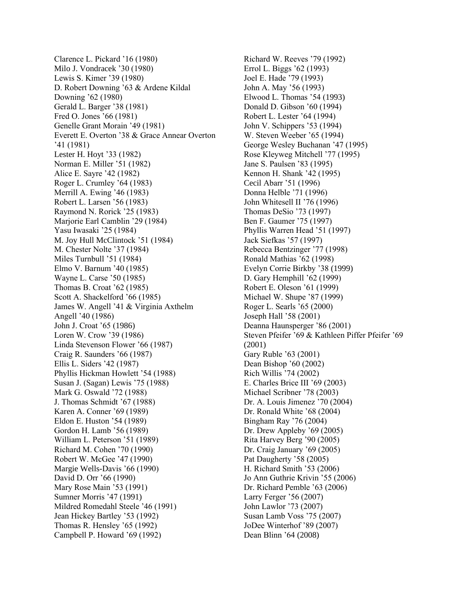Clarence L. Pickard '16 (1980) Milo J. Vondracek '30 (1980) Lewis S. Kimer '39 (1980) D. Robert Downing '63 & Ardene Kildal Downing '62 (1980) Gerald L. Barger '38 (1981) Fred O. Jones '66 (1981) Genelle Grant Morain '49 (1981) Everett E. Overton '38 & Grace Annear Overton '41 (1981) Lester H. Hoyt '33 (1982) Norman E. Miller '51 (1982) Alice E. Sayre '42 (1982) Roger L. Crumley '64 (1983) Merrill A. Ewing '46 (1983) Robert L. Larsen '56 (1983) Raymond N. Rorick '25 (1983) Marjorie Earl Camblin '29 (1984) Yasu Iwasaki '25 (1984) M. Joy Hull McClintock '51 (1984) M. Chester Nolte '37 (1984) Miles Turnbull '51 (1984) Elmo V. Barnum '40 (1985) Wayne L. Carse '50 (1985) Thomas B. Croat '62 (1985) Scott A. Shackelford '66 (1985) James W. Angell '41 & Virginia Axthelm Angell '40 (1986) John J. Croat '65 (1986) Loren W. Crow '39 (1986) Linda Stevenson Flower '66 (1987) Craig R. Saunders '66 (1987) Ellis L. Siders '42 (1987) Phyllis Hickman Howlett '54 (1988) Susan J. (Sagan) Lewis '75 (1988) Mark G. Oswald '72 (1988) J. Thomas Schmidt '67 (1988) Karen A. Conner '69 (1989) Eldon E. Huston '54 (1989) Gordon H. Lamb '56 (1989) William L. Peterson '51 (1989) Richard M. Cohen '70 (1990) Robert W. McGee '47 (1990) Margie Wells-Davis '66 (1990) David D. Orr '66 (1990) Mary Rose Main '53 (1991) Sumner Morris '47 (1991) Mildred Romedahl Steele '46 (1991) Jean Hickey Bartley '53 (1992) Thomas R. Hensley '65 (1992) Campbell P. Howard '69 (1992)

Richard W. Reeves '79 (1992) Errol L. Biggs '62 (1993) Joel E. Hade '79 (1993) John A. May '56 (1993) Elwood L. Thomas '54 (1993) Donald D. Gibson '60 (1994) Robert L. Lester '64 (1994) John V. Schippers '53 (1994) W. Steven Weeber '65 (1994) George Wesley Buchanan '47 (1995) Rose Kleyweg Mitchell '77 (1995) Jane S. Paulsen '83 (1995) Kennon H. Shank '42 (1995) Cecil Abarr '51 (1996) Donna Helble '71 (1996) John Whitesell II '76 (1996) Thomas DeSio '73 (1997) Ben F. Gaumer '75 (1997) Phyllis Warren Head '51 (1997) Jack Siefkas '57 (1997) Rebecca Bentzinger '77 (1998) Ronald Mathias '62 (1998) Evelyn Corrie Birkby '38 (1999) D. Gary Hemphill '62 (1999) Robert E. Oleson '61 (1999) Michael W. Shupe '87 (1999) Roger L. Searls '65 (2000) Joseph Hall '58 (2001) Deanna Haunsperger '86 (2001) Steven Pfeifer '69 & Kathleen Piffer Pfeifer '69 (2001) Gary Ruble '63 (2001) Dean Bishop '60 (2002) Rich Willis '74 (2002) E. Charles Brice III '69 (2003) Michael Scribner '78 (2003) Dr. A. Louis Jimenez '70 (2004) Dr. Ronald White '68 (2004) Bingham Ray '76 (2004) Dr. Drew Appleby '69 (2005) Rita Harvey Berg '90 (2005) Dr. Craig January '69 (2005) Pat Daugherty '58 (2005) H. Richard Smith '53 (2006) Jo Ann Guthrie Krivin '55 (2006) Dr. Richard Pemble '63 (2006) Larry Ferger '56 (2007) John Lawlor '73 (2007) Susan Lamb Voss '75 (2007) JoDee Winterhof '89 (2007) Dean Blinn '64 (2008)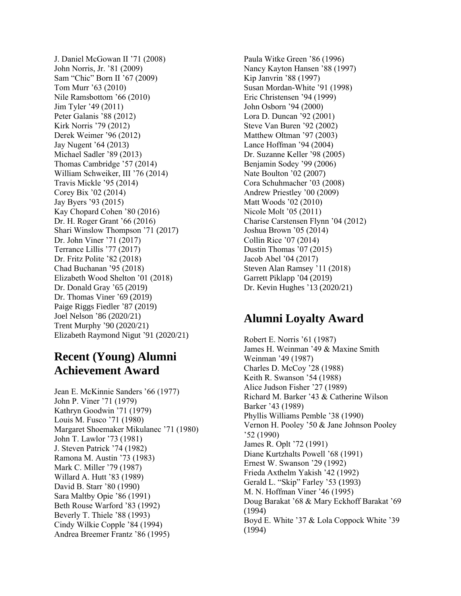J. Daniel McGowan II '71 (2008) John Norris, Jr. '81 (2009) Sam "Chic" Born II '67 (2009) Tom Murr '63 (2010) Nile Ramsbottom '66 (2010) Jim Tyler '49 (2011) Peter Galanis '88 (2012) Kirk Norris '79 (2012) Derek Weimer '96 (2012) Jay Nugent '64 (2013) Michael Sadler '89 (2013) Thomas Cambridge '57 (2014) William Schweiker, III '76 (2014) Travis Mickle '95 (2014) Corey Bix '02 (2014) Jay Byers '93 (2015) Kay Chopard Cohen '80 (2016) Dr. H. Roger Grant '66 (2016) Shari Winslow Thompson '71 (2017) Dr. John Viner '71 (2017) Terrance Lillis '77 (2017) Dr. Fritz Polite '82 (2018) Chad Buchanan '95 (2018) Elizabeth Wood Shelton '01 (2018) Dr. Donald Gray '65 (2019) Dr. Thomas Viner '69 (2019) Paige Riggs Fiedler '87 (2019) Joel Nelson '86 (2020/21) Trent Murphy '90 (2020/21) Elizabeth Raymond Nigut '91 (2020/21)

#### **Recent (Young) Alumni Achievement Award**

Jean E. McKinnie Sanders '66 (1977) John P. Viner '71 (1979) Kathryn Goodwin '71 (1979) Louis M. Fusco '71 (1980) Margaret Shoemaker Mikulanec '71 (1980) John T. Lawlor '73 (1981) J. Steven Patrick '74 (1982) Ramona M. Austin '73 (1983) Mark C. Miller '79 (1987) Willard A. Hutt '83 (1989) David B. Starr '80 (1990) Sara Maltby Opie '86 (1991) Beth Rouse Warford '83 (1992) Beverly T. Thiele '88 (1993) Cindy Wilkie Copple '84 (1994) Andrea Breemer Frantz '86 (1995)

Paula Witke Green '86 (1996) Nancy Kayton Hansen '88 (1997) Kip Janvrin '88 (1997) Susan Mordan-White '91 (1998) Eric Christensen '94 (1999) John Osborn '94 (2000) Lora D. Duncan '92 (2001) Steve Van Buren '92 (2002) Matthew Oltman '97 (2003) Lance Hoffman '94 (2004) Dr. Suzanne Keller '98 (2005) Benjamin Sodey '99 (2006) Nate Boulton '02 (2007) Cora Schuhmacher '03 (2008) Andrew Priestley '00 (2009) Matt Woods '02 (2010) Nicole Molt '05 (2011) Charise Carstensen Flynn '04 (2012) Joshua Brown '05 (2014) Collin Rice '07 (2014) Dustin Thomas '07 (2015) Jacob Abel '04 (2017) Steven Alan Ramsey '11 (2018) Garrett Piklapp '04 (2019) Dr. Kevin Hughes '13 (2020/21)

## **Alumni Loyalty Award**

Robert E. Norris '61 (1987) James H. Weinman '49 & Maxine Smith Weinman '49 (1987) Charles D. McCoy '28 (1988) Keith R. Swanson '54 (1988) Alice Judson Fisher '27 (1989) Richard M. Barker '43 & Catherine Wilson Barker '43 (1989) Phyllis Williams Pemble '38 (1990) Vernon H. Pooley '50 & Jane Johnson Pooley '52 (1990) James R. Oplt '72 (1991) Diane Kurtzhalts Powell '68 (1991) Ernest W. Swanson '29 (1992) Frieda Axthelm Yakish '42 (1992) Gerald L. "Skip" Farley '53 (1993) M. N. Hoffman Viner '46 (1995) Doug Barakat '68 & Mary Eckhoff Barakat '69 (1994) Boyd E. White '37 & Lola Coppock White '39 (1994)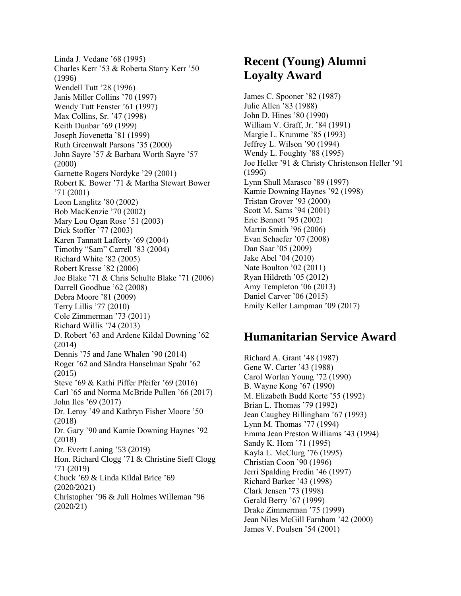Linda J. Vedane '68 (1995) Charles Kerr '53 & Roberta Starry Kerr '50 (1996) Wendell Tutt '28 (1996) Janis Miller Collins '70 (1997) Wendy Tutt Fenster '61 (1997) Max Collins, Sr. '47 (1998) Keith Dunbar '69 (1999) Joseph Jiovenetta '81 (1999) Ruth Greenwalt Parsons '35 (2000) John Sayre '57 & Barbara Worth Sayre '57 (2000) Garnette Rogers Nordyke '29 (2001) Robert K. Bower '71 & Martha Stewart Bower '71 (2001) Leon Langlitz '80 (2002) Bob MacKenzie '70 (2002) Mary Lou Ogan Rose '51 (2003) Dick Stoffer '77 (2003) Karen Tannatt Lafferty '69 (2004) Timothy "Sam" Carrell '83 (2004) Richard White '82 (2005) Robert Kresse '82 (2006) Joe Blake '71 & Chris Schulte Blake '71 (2006) Darrell Goodhue '62 (2008) Debra Moore '81 (2009) Terry Lillis '77 (2010) Cole Zimmerman '73 (2011) Richard Willis '74 (2013) D. Robert '63 and Ardene Kildal Downing '62 (2014) Dennis '75 and Jane Whalen '90 (2014) Roger '62 and Sändra Hanselman Spahr '62 (2015) Steve '69 & Kathi Piffer Pfeifer '69 (2016) Carl '65 and Norma McBride Pullen '66 (2017) John Iles '69 (2017) Dr. Leroy '49 and Kathryn Fisher Moore '50 (2018) Dr. Gary '90 and Kamie Downing Haynes '92 (2018) Dr. Evertt Laning '53 (2019) Hon. Richard Clogg '71 & Christine Sieff Clogg '71 (2019) Chuck '69 & Linda Kildal Brice '69 (2020/2021) Christopher '96 & Juli Holmes Willeman '96 (2020/21)

## **Recent (Young) Alumni Loyalty Award**

James C. Spooner '82 (1987) Julie Allen '83 (1988) John D. Hines '80 (1990) William V. Graff, Jr. '84 (1991) Margie L. Krumme '85 (1993) Jeffrey L. Wilson '90 (1994) Wendy L. Foughty '88 (1995) Joe Heller '91 & Christy Christenson Heller '91 (1996) Lynn Shull Marasco '89 (1997) Kamie Downing Haynes '92 (1998) Tristan Grover '93 (2000) Scott M. Sams '94 (2001) Eric Bennett '95 (2002) Martin Smith '96 (2006) Evan Schaefer '07 (2008) Dan Saar '05 (2009) Jake Abel '04 (2010) Nate Boulton '02 (2011) Ryan Hildreth '05 (2012) Amy Templeton '06 (2013) Daniel Carver '06 (2015) Emily Keller Lampman '09 (2017)

#### **Humanitarian Service Award**

Richard A. Grant '48 (1987) Gene W. Carter '43 (1988) Carol Worlan Young '72 (1990) B. Wayne Kong '67 (1990) M. Elizabeth Budd Korte '55 (1992) Brian L. Thomas '79 (1992) Jean Caughey Billingham '67 (1993) Lynn M. Thomas '77 (1994) Emma Jean Preston Williams '43 (1994) Sandy K. Hom '71 (1995) Kayla L. McClurg '76 (1995) Christian Coon '90 (1996) Jerri Spalding Fredin '46 (1997) Richard Barker '43 (1998) Clark Jensen '73 (1998) Gerald Berry '67 (1999) Drake Zimmerman '75 (1999) Jean Niles McGill Farnham '42 (2000) James V. Poulsen '54 (2001)